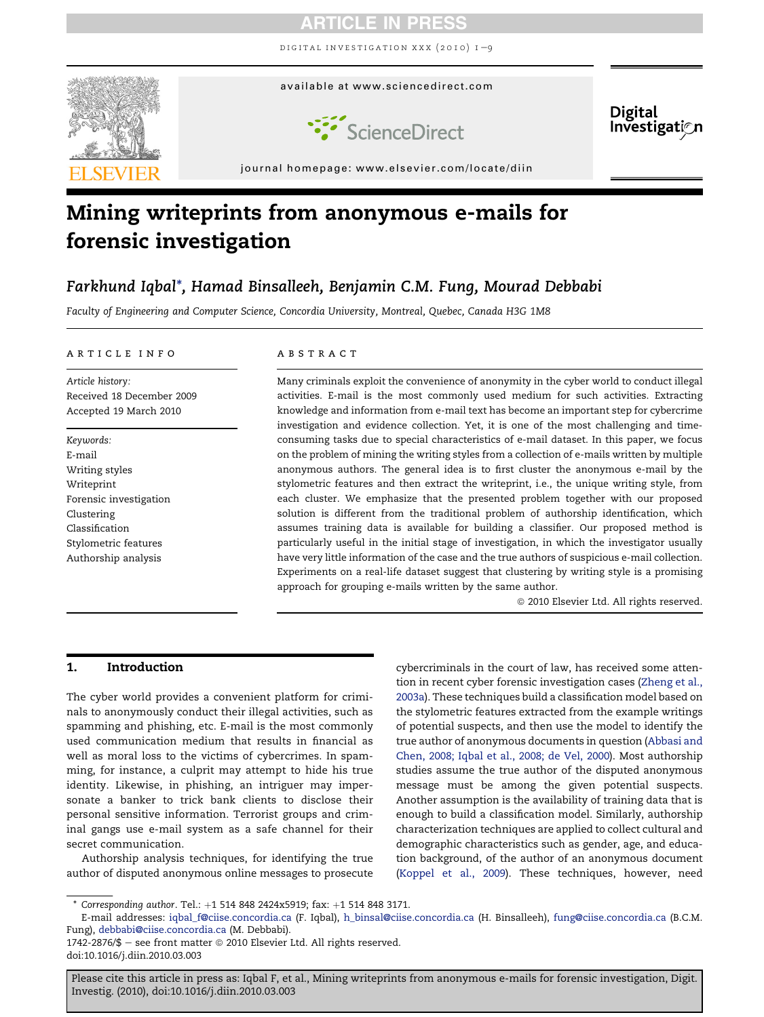DIGITAL INVESTIGATION XXX  $(2010)$   $I=9$ 



# Mining writeprints from anonymous e-mails for forensic investigation

# Farkhund Iqbal\*, Hamad Binsalleeh, Benjamin C.M. Fung, Mourad Debbabi

Faculty of Engineering and Computer Science, Concordia University, Montreal, Quebec, Canada H3G 1M8

#### article info

Article history: Received 18 December 2009 Accepted 19 March 2010

Keywords: E-mail Writing styles Writeprint Forensic investigation Clustering Classification Stylometric features Authorship analysis

#### **ABSTRACT**

Many criminals exploit the convenience of anonymity in the cyber world to conduct illegal activities. E-mail is the most commonly used medium for such activities. Extracting knowledge and information from e-mail text has become an important step for cybercrime investigation and evidence collection. Yet, it is one of the most challenging and timeconsuming tasks due to special characteristics of e-mail dataset. In this paper, we focus on the problem of mining the writing styles from a collection of e-mails written by multiple anonymous authors. The general idea is to first cluster the anonymous e-mail by the stylometric features and then extract the writeprint, i.e., the unique writing style, from each cluster. We emphasize that the presented problem together with our proposed solution is different from the traditional problem of authorship identification, which assumes training data is available for building a classifier. Our proposed method is particularly useful in the initial stage of investigation, in which the investigator usually have very little information of the case and the true authors of suspicious e-mail collection. Experiments on a real-life dataset suggest that clustering by writing style is a promising approach for grouping e-mails written by the same author.

 $@$  2010 Elsevier Ltd. All rights reserved.

### 1. Introduction

The cyber world provides a convenient platform for criminals to anonymously conduct their illegal activities, such as spamming and phishing, etc. E-mail is the most commonly used communication medium that results in financial as well as moral loss to the victims of cybercrimes. In spamming, for instance, a culprit may attempt to hide his true identity. Likewise, in phishing, an intriguer may impersonate a banker to trick bank clients to disclose their personal sensitive information. Terrorist groups and criminal gangs use e-mail system as a safe channel for their secret communication.

Authorship analysis techniques, for identifying the true author of disputed anonymous online messages to prosecute

cybercriminals in the court of law, has received some attention in recent cyber forensic investigation cases ([Zheng et al.,](#page-8-0) [2003a](#page-8-0)). These techniques build a classification model based on the stylometric features extracted from the example writings of potential suspects, and then use the model to identify the true author of anonymous documents in question [\(Abbasi and](#page-8-0) [Chen, 2008; Iqbal et al., 2008; de Vel, 2000](#page-8-0)). Most authorship studies assume the true author of the disputed anonymous message must be among the given potential suspects. Another assumption is the availability of training data that is enough to build a classification model. Similarly, authorship characterization techniques are applied to collect cultural and demographic characteristics such as gender, age, and education background, of the author of an anonymous document [\(Koppel et al., 2009](#page-8-0)). These techniques, however, need

 $*$  Corresponding author. Tel.:  $+1$  514 848 2424x5919; fax:  $+1$  514 848 3171.

E-mail addresses: [iqbal\\_f@ciise.concordia.ca](mailto:iqbal_f@ciise.concordia.ca) (F. Iqbal), [h\\_binsal@ciise.concordia.ca](mailto:h_binsal@ciise.concordia.ca) (H. Binsalleeh), [fung@ciise.concordia.ca](mailto:fung@ciise.concordia.ca) (B.C.M. Fung), [debbabi@ciise.concordia.ca](mailto:debbabi@ciise.concordia.ca) (M. Debbabi).

 $1742-2876/\$$  – see front matter  $\degree$  2010 Elsevier Ltd. All rights reserved. doi:10.1016/j.diin.2010.03.003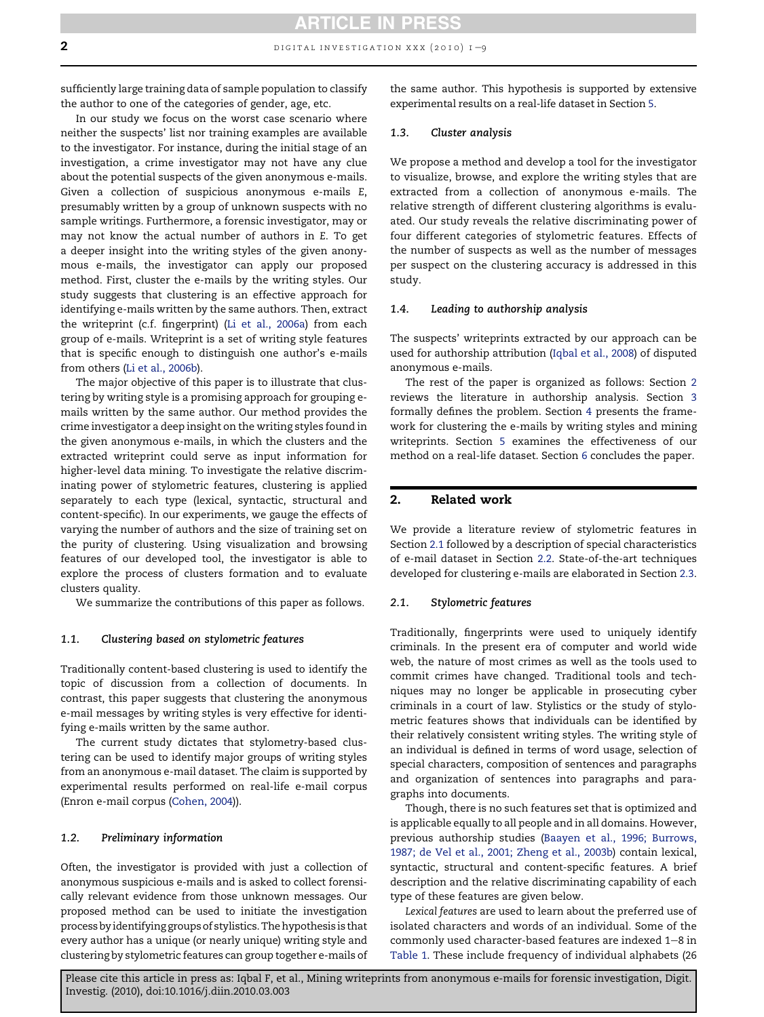sufficiently large training data of sample population to classify the author to one of the categories of gender, age, etc.

In our study we focus on the worst case scenario where neither the suspects' list nor training examples are available to the investigator. For instance, during the initial stage of an investigation, a crime investigator may not have any clue about the potential suspects of the given anonymous e-mails. Given a collection of suspicious anonymous e-mails E, presumably written by a group of unknown suspects with no sample writings. Furthermore, a forensic investigator, may or may not know the actual number of authors in E. To get a deeper insight into the writing styles of the given anonymous e-mails, the investigator can apply our proposed method. First, cluster the e-mails by the writing styles. Our study suggests that clustering is an effective approach for identifying e-mails written by the same authors. Then, extract the writeprint (c.f. fingerprint) [\(Li et al., 2006a\)](#page-8-0) from each group of e-mails. Writeprint is a set of writing style features that is specific enough to distinguish one author's e-mails from others [\(Li et al., 2006b\)](#page-8-0).

The major objective of this paper is to illustrate that clustering by writing style is a promising approach for grouping emails written by the same author. Our method provides the crime investigator a deep insight on the writing styles found in the given anonymous e-mails, in which the clusters and the extracted writeprint could serve as input information for higher-level data mining. To investigate the relative discriminating power of stylometric features, clustering is applied separately to each type (lexical, syntactic, structural and content-specific). In our experiments, we gauge the effects of varying the number of authors and the size of training set on the purity of clustering. Using visualization and browsing features of our developed tool, the investigator is able to explore the process of clusters formation and to evaluate clusters quality.

We summarize the contributions of this paper as follows.

### 1.1. Clustering based on stylometric features

Traditionally content-based clustering is used to identify the topic of discussion from a collection of documents. In contrast, this paper suggests that clustering the anonymous e-mail messages by writing styles is very effective for identifying e-mails written by the same author.

The current study dictates that stylometry-based clustering can be used to identify major groups of writing styles from an anonymous e-mail dataset. The claim is supported by experimental results performed on real-life e-mail corpus (Enron e-mail corpus [\(Cohen, 2004](#page-8-0))).

### 1.2. Preliminary information

Often, the investigator is provided with just a collection of anonymous suspicious e-mails and is asked to collect forensically relevant evidence from those unknown messages. Our proposed method can be used to initiate the investigation process by identifying groups of stylistics. The hypothesis is that every author has a unique (or nearly unique) writing style and clustering by stylometric features can group together e-mails of

the same author. This hypothesis is supported by extensive experimental results on a real-life dataset in Section [5.](#page-6-0)

#### 1.3. Cluster analysis

We propose a method and develop a tool for the investigator to visualize, browse, and explore the writing styles that are extracted from a collection of anonymous e-mails. The relative strength of different clustering algorithms is evaluated. Our study reveals the relative discriminating power of four different categories of stylometric features. Effects of the number of suspects as well as the number of messages per suspect on the clustering accuracy is addressed in this study.

#### 1.4. Leading to authorship analysis

The suspects' writeprints extracted by our approach can be used for authorship attribution [\(Iqbal et al., 2008](#page-8-0)) of disputed anonymous e-mails.

The rest of the paper is organized as follows: Section 2 reviews the literature in authorship analysis. Section [3](#page-3-0) formally defines the problem. Section [4](#page-3-0) presents the framework for clustering the e-mails by writing styles and mining writeprints. Section [5](#page-6-0) examines the effectiveness of our method on a real-life dataset. Section [6](#page-7-0) concludes the paper.

# 2. Related work

We provide a literature review of stylometric features in Section 2.1 followed by a description of special characteristics of e-mail dataset in Section [2.2](#page-2-0). State-of-the-art techniques developed for clustering e-mails are elaborated in Section [2.3](#page-3-0).

#### 2.1. Stylometric features

Traditionally, fingerprints were used to uniquely identify criminals. In the present era of computer and world wide web, the nature of most crimes as well as the tools used to commit crimes have changed. Traditional tools and techniques may no longer be applicable in prosecuting cyber criminals in a court of law. Stylistics or the study of stylometric features shows that individuals can be identified by their relatively consistent writing styles. The writing style of an individual is defined in terms of word usage, selection of special characters, composition of sentences and paragraphs and organization of sentences into paragraphs and paragraphs into documents.

Though, there is no such features set that is optimized and is applicable equally to all people and in all domains. However, previous authorship studies [\(Baayen et al., 1996; Burrows,](#page-8-0) [1987; de Vel et al., 2001; Zheng et al., 2003b\)](#page-8-0) contain lexical, syntactic, structural and content-specific features. A brief description and the relative discriminating capability of each type of these features are given below.

Lexical features are used to learn about the preferred use of isolated characters and words of an individual. Some of the commonly used character-based features are indexed  $1-8$  in [Table 1](#page-2-0). These include frequency of individual alphabets (26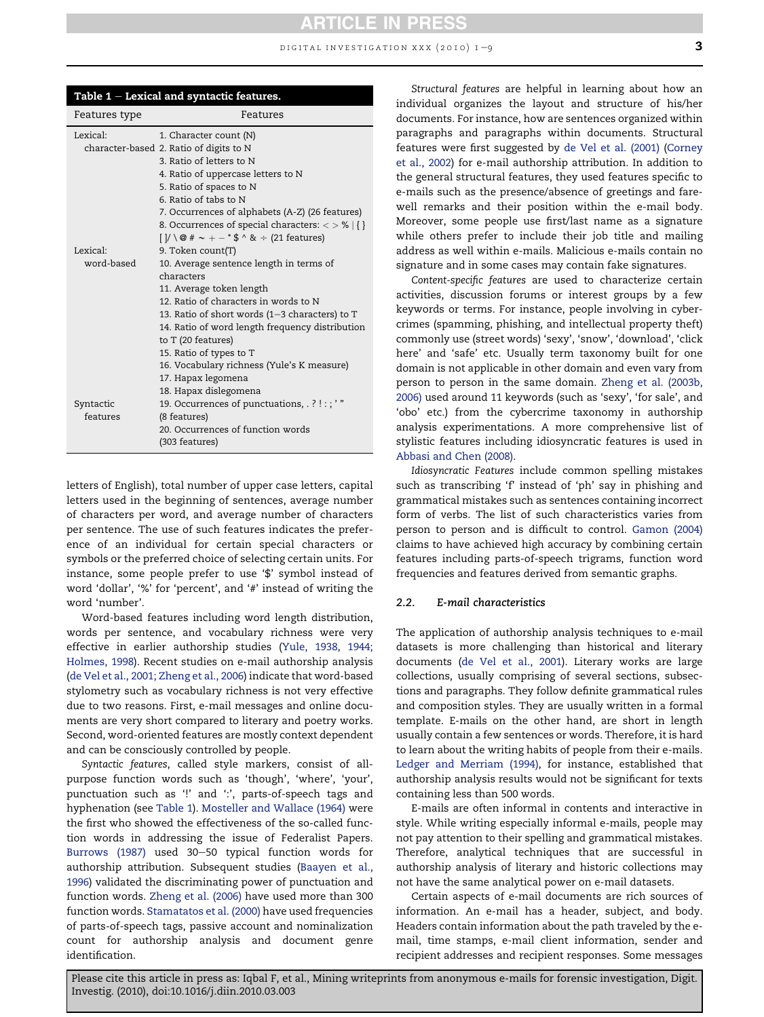# DIGITAL INVESTIGATION XXX (2010)  $1-\theta$  3

<span id="page-2-0"></span>

| Table 1 – Lexical and syntactic features. |                                                                                                                                                                                                                                                                                                                                                                                                      |  |  |  |
|-------------------------------------------|------------------------------------------------------------------------------------------------------------------------------------------------------------------------------------------------------------------------------------------------------------------------------------------------------------------------------------------------------------------------------------------------------|--|--|--|
| Features type                             | Features                                                                                                                                                                                                                                                                                                                                                                                             |  |  |  |
| Lexical                                   | 1. Character count (N)<br>character-based 2. Ratio of digits to N<br>3. Ratio of letters to N<br>4. Ratio of uppercase letters to N<br>5. Ratio of spaces to N<br>6 Ratio of tabs to N<br>7. Occurrences of alphabets (A-Z) (26 features)<br>8. Occurrences of special characters: $\langle \rangle \$   { }<br>$[$ $]/ \setminus \emptyset$ # $\sim$ + - * \$ ^ & ÷ (21 features)                   |  |  |  |
| Lexical<br>word-based                     | 9. Token count(T)<br>10. Average sentence length in terms of<br>characters<br>11. Average token length<br>12. Ratio of characters in words to N<br>13. Ratio of short words $(1-3$ characters) to T<br>14. Ratio of word length frequency distribution<br>to T (20 features)<br>15. Ratio of types to T<br>16. Vocabulary richness (Yule's K measure)<br>17. Hapax legomena<br>18. Hapax dislegomena |  |  |  |
| Syntactic<br>features                     | 19. Occurrences of punctuations, .?!:;'"<br>(8 features)<br>20. Occurrences of function words<br>(303 features)                                                                                                                                                                                                                                                                                      |  |  |  |

letters of English), total number of upper case letters, capital letters used in the beginning of sentences, average number of characters per word, and average number of characters per sentence. The use of such features indicates the preference of an individual for certain special characters or symbols or the preferred choice of selecting certain units. For instance, some people prefer to use '\$' symbol instead of word 'dollar', '%' for 'percent', and '#' instead of writing the word 'number'.

Word-based features including word length distribution, words per sentence, and vocabulary richness were very effective in earlier authorship studies [\(Yule, 1938, 1944;](#page-8-0) [Holmes, 1998](#page-8-0)). Recent studies on e-mail authorship analysis [\(de Vel et al., 2001; Zheng et al., 2006](#page-8-0)) indicate that word-based stylometry such as vocabulary richness is not very effective due to two reasons. First, e-mail messages and online documents are very short compared to literary and poetry works. Second, word-oriented features are mostly context dependent and can be consciously controlled by people.

Syntactic features, called style markers, consist of allpurpose function words such as 'though', 'where', 'your', punctuation such as '!' and ':', parts-of-speech tags and hyphenation (see Table 1). [Mosteller and Wallace \(1964\)](#page-8-0) were the first who showed the effectiveness of the so-called function words in addressing the issue of Federalist Papers. [Burrows \(1987\)](#page-8-0) used 30-50 typical function words for authorship attribution. Subsequent studies [\(Baayen et al.,](#page-8-0) [1996](#page-8-0)) validated the discriminating power of punctuation and function words. [Zheng et al. \(2006\)](#page-8-0) have used more than 300 function words. [Stamatatos et al. \(2000\)](#page-8-0) have used frequencies of parts-of-speech tags, passive account and nominalization count for authorship analysis and document genre identification.

Structural features are helpful in learning about how an individual organizes the layout and structure of his/her documents. For instance, how are sentences organized within paragraphs and paragraphs within documents. Structural features were first suggested by [de Vel et al. \(2001\)](#page-8-0) [\(Corney](#page-8-0) [et al., 2002\)](#page-8-0) for e-mail authorship attribution. In addition to the general structural features, they used features specific to e-mails such as the presence/absence of greetings and farewell remarks and their position within the e-mail body. Moreover, some people use first/last name as a signature while others prefer to include their job title and mailing address as well within e-mails. Malicious e-mails contain no signature and in some cases may contain fake signatures.

Content-specific features are used to characterize certain activities, discussion forums or interest groups by a few keywords or terms. For instance, people involving in cybercrimes (spamming, phishing, and intellectual property theft) commonly use (street words) 'sexy', 'snow', 'download', 'click here' and 'safe' etc. Usually term taxonomy built for one domain is not applicable in other domain and even vary from person to person in the same domain. [Zheng et al. \(2003b,](#page-8-0) [2006\)](#page-8-0) used around 11 keywords (such as 'sexy', 'for sale', and 'obo' etc.) from the cybercrime taxonomy in authorship analysis experimentations. A more comprehensive list of stylistic features including idiosyncratic features is used in [Abbasi and Chen \(2008\)](#page-8-0).

Idiosyncratic Features include common spelling mistakes such as transcribing 'f' instead of 'ph' say in phishing and grammatical mistakes such as sentences containing incorrect form of verbs. The list of such characteristics varies from person to person and is difficult to control. [Gamon \(2004\)](#page-8-0) claims to have achieved high accuracy by combining certain features including parts-of-speech trigrams, function word frequencies and features derived from semantic graphs.

#### 2.2. E-mail characteristics

The application of authorship analysis techniques to e-mail datasets is more challenging than historical and literary documents ([de Vel et al., 2001](#page-8-0)). Literary works are large collections, usually comprising of several sections, subsections and paragraphs. They follow definite grammatical rules and composition styles. They are usually written in a formal template. E-mails on the other hand, are short in length usually contain a few sentences or words. Therefore, it is hard to learn about the writing habits of people from their e-mails. [Ledger and Merriam \(1994\),](#page-8-0) for instance, established that authorship analysis results would not be significant for texts containing less than 500 words.

E-mails are often informal in contents and interactive in style. While writing especially informal e-mails, people may not pay attention to their spelling and grammatical mistakes. Therefore, analytical techniques that are successful in authorship analysis of literary and historic collections may not have the same analytical power on e-mail datasets.

Certain aspects of e-mail documents are rich sources of information. An e-mail has a header, subject, and body. Headers contain information about the path traveled by the email, time stamps, e-mail client information, sender and recipient addresses and recipient responses. Some messages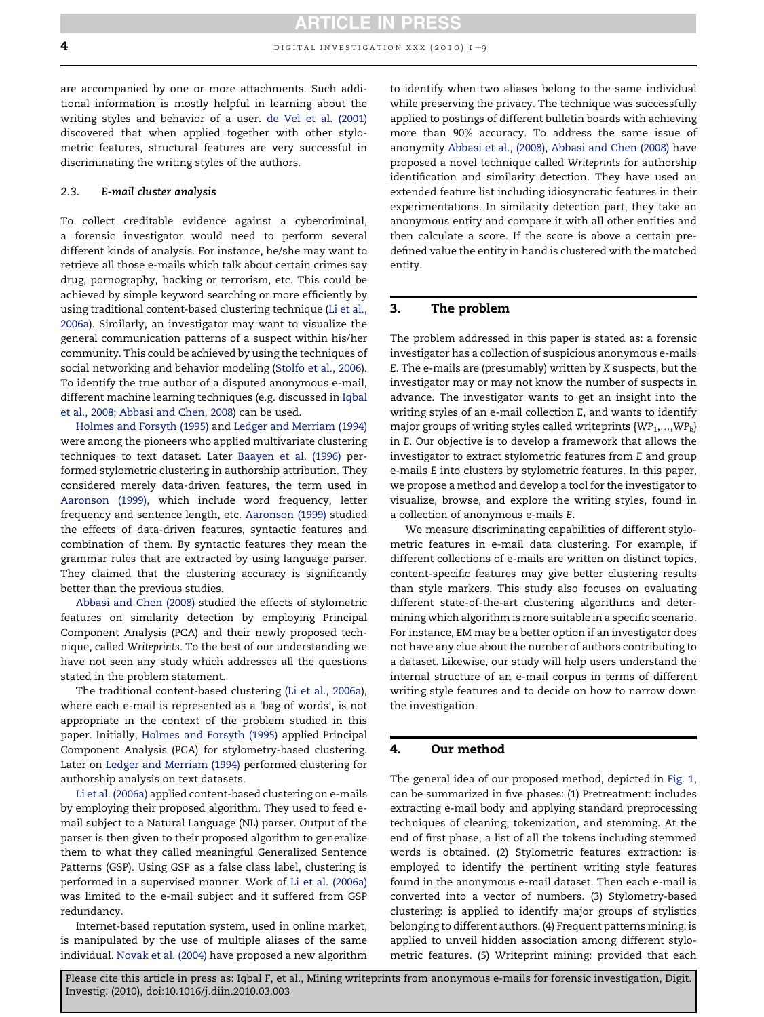<span id="page-3-0"></span>are accompanied by one or more attachments. Such additional information is mostly helpful in learning about the writing styles and behavior of a user. [de Vel et al. \(2001\)](#page-8-0) discovered that when applied together with other stylometric features, structural features are very successful in discriminating the writing styles of the authors.

### 2.3. E-mail cluster analysis

To collect creditable evidence against a cybercriminal, a forensic investigator would need to perform several different kinds of analysis. For instance, he/she may want to retrieve all those e-mails which talk about certain crimes say drug, pornography, hacking or terrorism, etc. This could be achieved by simple keyword searching or more efficiently by using traditional content-based clustering technique [\(Li et al.,](#page-8-0) [2006a](#page-8-0)). Similarly, an investigator may want to visualize the general communication patterns of a suspect within his/her community. This could be achieved by using the techniques of social networking and behavior modeling ([Stolfo et al., 2006\)](#page-8-0). To identify the true author of a disputed anonymous e-mail, different machine learning techniques (e.g. discussed in [Iqbal](#page-8-0) [et al., 2008; Abbasi and Chen, 2008\)](#page-8-0) can be used.

[Holmes and Forsyth \(1995\)](#page-8-0) and [Ledger and Merriam \(1994\)](#page-8-0) were among the pioneers who applied multivariate clustering techniques to text dataset. Later [Baayen et al. \(1996\)](#page-8-0) performed stylometric clustering in authorship attribution. They considered merely data-driven features, the term used in [Aaronson \(1999\)](#page-8-0), which include word frequency, letter frequency and sentence length, etc. [Aaronson \(1999\)](#page-8-0) studied the effects of data-driven features, syntactic features and combination of them. By syntactic features they mean the grammar rules that are extracted by using language parser. They claimed that the clustering accuracy is significantly better than the previous studies.

[Abbasi and Chen \(2008\)](#page-8-0) studied the effects of stylometric features on similarity detection by employing Principal Component Analysis (PCA) and their newly proposed technique, called Writeprints. To the best of our understanding we have not seen any study which addresses all the questions stated in the problem statement.

The traditional content-based clustering ([Li et al., 2006a\)](#page-8-0), where each e-mail is represented as a 'bag of words', is not appropriate in the context of the problem studied in this paper. Initially, [Holmes and Forsyth \(1995\)](#page-8-0) applied Principal Component Analysis (PCA) for stylometry-based clustering. Later on [Ledger and Merriam \(1994\)](#page-8-0) performed clustering for authorship analysis on text datasets.

[Li et al. \(2006a\)](#page-8-0) applied content-based clustering on e-mails by employing their proposed algorithm. They used to feed email subject to a Natural Language (NL) parser. Output of the parser is then given to their proposed algorithm to generalize them to what they called meaningful Generalized Sentence Patterns (GSP). Using GSP as a false class label, clustering is performed in a supervised manner. Work of [Li et al. \(2006a\)](#page-8-0) was limited to the e-mail subject and it suffered from GSP redundancy.

Internet-based reputation system, used in online market, is manipulated by the use of multiple aliases of the same individual. [Novak et al. \(2004\)](#page-8-0) have proposed a new algorithm to identify when two aliases belong to the same individual while preserving the privacy. The technique was successfully applied to postings of different bulletin boards with achieving more than 90% accuracy. To address the same issue of anonymity [Abbasi et al., \(2008\), Abbasi and Chen \(2008\)](#page-8-0) have proposed a novel technique called Writeprints for authorship identification and similarity detection. They have used an extended feature list including idiosyncratic features in their experimentations. In similarity detection part, they take an anonymous entity and compare it with all other entities and then calculate a score. If the score is above a certain predefined value the entity in hand is clustered with the matched entity.

# 3. The problem

The problem addressed in this paper is stated as: a forensic investigator has a collection of suspicious anonymous e-mails E. The e-mails are (presumably) written by K suspects, but the investigator may or may not know the number of suspects in advance. The investigator wants to get an insight into the writing styles of an e-mail collection E, and wants to identify major groups of writing styles called writeprints  $\{WP_1,...,WP_k\}$ in E. Our objective is to develop a framework that allows the investigator to extract stylometric features from E and group e-mails E into clusters by stylometric features. In this paper, we propose a method and develop a tool for the investigator to visualize, browse, and explore the writing styles, found in a collection of anonymous e-mails E.

We measure discriminating capabilities of different stylometric features in e-mail data clustering. For example, if different collections of e-mails are written on distinct topics, content-specific features may give better clustering results than style markers. This study also focuses on evaluating different state-of-the-art clustering algorithms and determining which algorithm is more suitable in a specific scenario. For instance, EM may be a better option if an investigator does not have any clue about the number of authors contributing to a dataset. Likewise, our study will help users understand the internal structure of an e-mail corpus in terms of different writing style features and to decide on how to narrow down the investigation.

# 4. Our method

The general idea of our proposed method, depicted in [Fig. 1](#page-4-0), can be summarized in five phases: (1) Pretreatment: includes extracting e-mail body and applying standard preprocessing techniques of cleaning, tokenization, and stemming. At the end of first phase, a list of all the tokens including stemmed words is obtained. (2) Stylometric features extraction: is employed to identify the pertinent writing style features found in the anonymous e-mail dataset. Then each e-mail is converted into a vector of numbers. (3) Stylometry-based clustering: is applied to identify major groups of stylistics belonging to different authors. (4) Frequent patterns mining: is applied to unveil hidden association among different stylometric features. (5) Writeprint mining: provided that each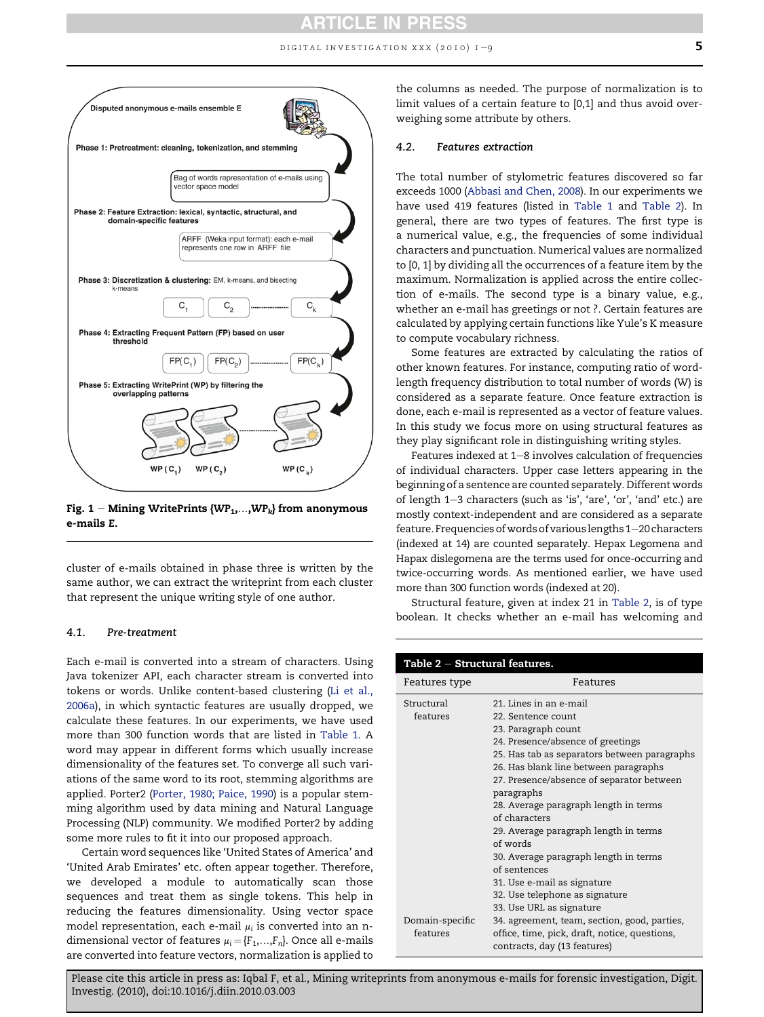DIGITAL INVESTIGATION XXX  $(2010)$   $1-9$  5

<span id="page-4-0"></span>

Fig. 1 – Mining WritePrints  ${WP_1,...,WP_k}$  from anonymous e-mails E.

cluster of e-mails obtained in phase three is written by the same author, we can extract the writeprint from each cluster that represent the unique writing style of one author.

#### 4.1. Pre-treatment

Each e-mail is converted into a stream of characters. Using Java tokenizer API, each character stream is converted into tokens or words. Unlike content-based clustering ([Li et al.,](#page-8-0) [2006a\)](#page-8-0), in which syntactic features are usually dropped, we calculate these features. In our experiments, we have used more than 300 function words that are listed in [Table 1](#page-2-0). A word may appear in different forms which usually increase dimensionality of the features set. To converge all such variations of the same word to its root, stemming algorithms are applied. Porter2 [\(Porter, 1980; Paice, 1990](#page-8-0)) is a popular stemming algorithm used by data mining and Natural Language Processing (NLP) community. We modified Porter2 by adding some more rules to fit it into our proposed approach.

Certain word sequences like 'United States of America' and 'United Arab Emirates' etc. often appear together. Therefore, we developed a module to automatically scan those sequences and treat them as single tokens. This help in reducing the features dimensionality. Using vector space model representation, each e-mail  $\mu_i$  is converted into an ndimensional vector of features  $\mu_i = \{F_1, \ldots, F_n\}$ . Once all e-mails are converted into feature vectors, normalization is applied to

the columns as needed. The purpose of normalization is to limit values of a certain feature to [0,1] and thus avoid overweighing some attribute by others.

### 4.2. Features extraction

The total number of stylometric features discovered so far exceeds 1000 [\(Abbasi and Chen, 2008\)](#page-8-0). In our experiments we have used 419 features (listed in [Table 1](#page-2-0) and Table 2). In general, there are two types of features. The first type is a numerical value, e.g., the frequencies of some individual characters and punctuation. Numerical values are normalized to [0, 1] by dividing all the occurrences of a feature item by the maximum. Normalization is applied across the entire collection of e-mails. The second type is a binary value, e.g., whether an e-mail has greetings or not ?. Certain features are calculated by applying certain functions like Yule's K measure to compute vocabulary richness.

Some features are extracted by calculating the ratios of other known features. For instance, computing ratio of wordlength frequency distribution to total number of words (W) is considered as a separate feature. Once feature extraction is done, each e-mail is represented as a vector of feature values. In this study we focus more on using structural features as they play significant role in distinguishing writing styles.

Features indexed at  $1-8$  involves calculation of frequencies of individual characters. Upper case letters appearing in the beginning of a sentence are counted separately. Different words of length 1-3 characters (such as 'is', 'are', 'or', 'and' etc.) are mostly context-independent and are considered as a separate feature. Frequencies of words of various lengths 1-20 characters (indexed at 14) are counted separately. Hepax Legomena and Hapax dislegomena are the terms used for once-occurring and twice-occurring words. As mentioned earlier, we have used more than 300 function words (indexed at 20).

Structural feature, given at index 21 in Table 2, is of type boolean. It checks whether an e-mail has welcoming and

| Table 2 - Structural features. |                                               |  |  |  |  |  |
|--------------------------------|-----------------------------------------------|--|--|--|--|--|
| Features type                  | Features                                      |  |  |  |  |  |
| Structural                     | 21. Lines in an e-mail                        |  |  |  |  |  |
| features                       | 22. Sentence count                            |  |  |  |  |  |
|                                | 23. Paragraph count                           |  |  |  |  |  |
|                                | 24. Presence/absence of greetings             |  |  |  |  |  |
|                                | 25. Has tab as separators between paragraphs  |  |  |  |  |  |
|                                | 26. Has blank line between paragraphs         |  |  |  |  |  |
|                                | 27. Presence/absence of separator between     |  |  |  |  |  |
|                                | paragraphs                                    |  |  |  |  |  |
|                                | 28. Average paragraph length in terms         |  |  |  |  |  |
|                                | of characters                                 |  |  |  |  |  |
|                                | 29. Average paragraph length in terms         |  |  |  |  |  |
|                                | of words                                      |  |  |  |  |  |
|                                | 30. Average paragraph length in terms         |  |  |  |  |  |
|                                | of sentences                                  |  |  |  |  |  |
|                                | 31. Use e-mail as signature                   |  |  |  |  |  |
|                                | 32. Use telephone as signature                |  |  |  |  |  |
|                                | 33. Use URL as signature                      |  |  |  |  |  |
| Domain-specific                | 34. agreement, team, section, good, parties,  |  |  |  |  |  |
| features                       | office, time, pick, draft, notice, questions, |  |  |  |  |  |
|                                | contracts, day (13 features)                  |  |  |  |  |  |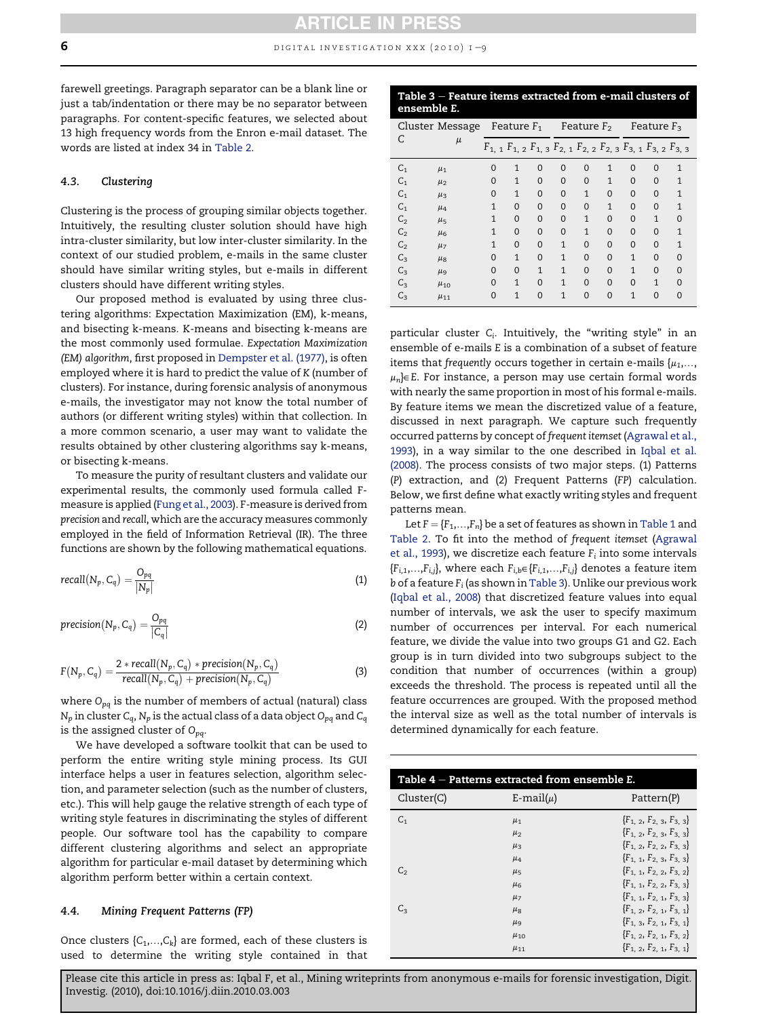<span id="page-5-0"></span>farewell greetings. Paragraph separator can be a blank line or just a tab/indentation or there may be no separator between paragraphs. For content-specific features, we selected about 13 high frequency words from the Enron e-mail dataset. The words are listed at index 34 in [Table 2.](#page-4-0)

### 4.3. Clustering

Clustering is the process of grouping similar objects together. Intuitively, the resulting cluster solution should have high intra-cluster similarity, but low inter-cluster similarity. In the context of our studied problem, e-mails in the same cluster should have similar writing styles, but e-mails in different clusters should have different writing styles.

Our proposed method is evaluated by using three clustering algorithms: Expectation Maximization (EM), k-means, and bisecting k-means. K-means and bisecting k-means are the most commonly used formulae. Expectation Maximization (EM) algorithm, first proposed in [Dempster et al. \(1977\)](#page-8-0), is often employed where it is hard to predict the value of K (number of clusters). For instance, during forensic analysis of anonymous e-mails, the investigator may not know the total number of authors (or different writing styles) within that collection. In a more common scenario, a user may want to validate the results obtained by other clustering algorithms say k-means, or bisecting k-means.

To measure the purity of resultant clusters and validate our experimental results, the commonly used formula called Fmeasure is applied [\(Fung et al., 2003](#page-8-0)). F-measure is derived from precision and recall, which are the accuracy measures commonly employed in the field of Information Retrieval (IR). The three functions are shown by the following mathematical equations.

$$
recall(N_p, C_q) = \frac{O_{pq}}{|N_p|}
$$
\n(1)

$$
precision(N_p, C_q) = \frac{O_{pq}}{|C_q|}
$$
 (2)

$$
F(N_p, C_q) = \frac{2 * recall(N_p, C_q) * precision(N_p, C_q)}{recall(N_p, C_q) + precision(N_p, C_q)}
$$
\n(3)

where  $O_{pa}$  is the number of members of actual (natural) class  $N_p$  in cluster  $C_q$ ,  $N_p$  is the actual class of a data object  $O_{pq}$  and  $C_q$ is the assigned cluster of  $O_{pq}$ .

We have developed a software toolkit that can be used to perform the entire writing style mining process. Its GUI interface helps a user in features selection, algorithm selection, and parameter selection (such as the number of clusters, etc.). This will help gauge the relative strength of each type of writing style features in discriminating the styles of different people. Our software tool has the capability to compare different clustering algorithms and select an appropriate algorithm for particular e-mail dataset by determining which algorithm perform better within a certain context.

#### 4.4. Mining Frequent Patterns (FP)

Once clusters  $\{C_1,...,C_k\}$  are formed, each of these clusters is used to determine the writing style contained in that

Table  $3$  – Feature items extracted from e-mail clusters of ensemble E.

|                | Cluster Message Feature $F_1$ |          |              |                                                                                           |              | Feature $F_2$ |              |              | Feature $F_3$ |          |
|----------------|-------------------------------|----------|--------------|-------------------------------------------------------------------------------------------|--------------|---------------|--------------|--------------|---------------|----------|
| C              | $\mu$                         |          |              | $F_1$ , 1 $F_1$ , 2 $F_1$ , 3 $F_2$ , 1 $F_2$ , 2 $F_2$ , 3 $F_3$ , 1 $F_3$ , 2 $F_3$ , 3 |              |               |              |              |               |          |
| $C_1$          | $\mu_1$                       | 0        | 1            | $\Omega$                                                                                  | 0            | 0             | 1            | $\Omega$     | $\Omega$      | 1        |
| $C_1$          | $\mu_2$                       | $\Omega$ | $\mathbf{1}$ | $\Omega$                                                                                  | $\Omega$     | $\Omega$      | $\mathbf{1}$ | $\Omega$     | $\Omega$      | 1        |
| $C_1$          | $\mu_3$                       | 0        | 1            | $\mathbf 0$                                                                               | $\Omega$     | 1             | $\Omega$     | $\Omega$     | $\Omega$      | 1        |
| $C_1$          | $\mu_4$                       | 1        | $\Omega$     | $\Omega$                                                                                  | $\Omega$     | $\Omega$      | $\mathbf{1}$ | $\Omega$     | $\Omega$      | 1        |
| C <sub>2</sub> | $\mu$ <sub>5</sub>            | 1        | 0            | $\mathbf 0$                                                                               | 0            | 1             | $\Omega$     | $\Omega$     | 1             | $\Omega$ |
| C <sub>2</sub> | $\mu_6$                       | 1        | $\Omega$     | $\Omega$                                                                                  | $\Omega$     | $\mathbf{1}$  | $\Omega$     | $\Omega$     | $\Omega$      | 1        |
| C <sub>2</sub> | $\mu_7$                       | 1        | $\Omega$     | $\Omega$                                                                                  | $\mathbf{1}$ | 0             | $\Omega$     | $\Omega$     | $\Omega$      | 1        |
| $C_3$          | $\mu_8$                       | 0        | 1            | $\Omega$                                                                                  | $\mathbf{1}$ | $\Omega$      | $\Omega$     | $\mathbf{1}$ | $\Omega$      | $\Omega$ |
| $C_3$          | $\mu_{9}$                     | 0        | $\Omega$     | $\mathbf{1}$                                                                              | $\mathbf{1}$ | $\Omega$      | $\Omega$     | $\mathbf{1}$ | $\Omega$      | $\Omega$ |
| $C_3$          | $\mu_{10}$                    | 0        | $\mathbf{1}$ | $\Omega$                                                                                  | $\mathbf{1}$ | $\Omega$      | $\Omega$     | $\Omega$     | 1             | $\Omega$ |
| $C_3$          | $\mu_{11}$                    | 0        | $\mathbf{1}$ | $\mathbf 0$                                                                               | $\mathbf{1}$ | 0             | $\Omega$     | $\mathbf{1}$ | $\Omega$      | $\Omega$ |

particular cluster  $C_i$ . Intuitively, the "writing style" in an ensemble of e-mails E is a combination of a subset of feature items that frequently occurs together in certain e-mails  $\{\mu_1, \ldots, \mu_n\}$  $\mu_n$ } $\in$  E. For instance, a person may use certain formal words with nearly the same proportion in most of his formal e-mails. By feature items we mean the discretized value of a feature, discussed in next paragraph. We capture such frequently occurred patterns by concept of frequent itemset ([Agrawal et al.,](#page-8-0) [1993\)](#page-8-0), in a way similar to the one described in [Iqbal et al.](#page-8-0) [\(2008\).](#page-8-0) The process consists of two major steps. (1) Patterns (P) extraction, and (2) Frequent Patterns (FP) calculation. Below, we first define what exactly writing styles and frequent patterns mean.

Let  $F = \{F_1,...,F_n\}$  be a set of features as shown in [Table 1](#page-2-0) and [Table 2.](#page-4-0) To fit into the method of frequent itemset [\(Agrawal](#page-8-0) [et al., 1993\)](#page-8-0), we discretize each feature  $F_i$  into some intervals  ${F_{i,1},...,F_{i,j}}$ , where each  $F_{i,b} \in {F_{i,1},...,F_{i,j}}$  denotes a feature item  $b$  of a feature  $F_i$  (as shown in Table 3). Unlike our previous work ([Iqbal et al., 2008\)](#page-8-0) that discretized feature values into equal number of intervals, we ask the user to specify maximum number of occurrences per interval. For each numerical feature, we divide the value into two groups G1 and G2. Each group is in turn divided into two subgroups subject to the condition that number of occurrences (within a group) exceeds the threshold. The process is repeated until all the feature occurrences are grouped. With the proposed method the interval size as well as the total number of intervals is determined dynamically for each feature.

| Table $4$ – Patterns extracted from ensemble E. |                                          |                                                                |  |  |
|-------------------------------------------------|------------------------------------------|----------------------------------------------------------------|--|--|
| Cluster(C)                                      | E-mail $(\mu)$                           | Pattern(P)                                                     |  |  |
| C <sub>1</sub>                                  | $\mu_1$<br>$\mu_2$                       | ${F_{1,2}, F_{2,3}, F_{3,3}}$<br>${F_{1,2}, F_{2,3}, F_{3,3}}$ |  |  |
|                                                 | $\mu_3$                                  | ${F_{1,2}, F_{2,2}, F_{3,3}}$<br>${F_{1,1}, F_{2,3}, F_{3,3}}$ |  |  |
| $C_{2}$                                         | $\mu_4$<br>$\mu$ <sub>5</sub>            | ${F_{1,1}, F_{2,2}, F_{3,2}}$                                  |  |  |
|                                                 | $\mu$ <sub>6</sub><br>$\mu$ <sub>7</sub> | ${F_{1,1}, F_{2,2}, F_{3,3}}$<br>${F_{1,1}, F_{2,1}, F_{3,3}}$ |  |  |
| $C_{3}$                                         | $\mu_{8}$<br>$\mu_{9}$                   | ${F_{1,2}, F_{2,1}, F_{3,1}}$<br>${F_{1,3}, F_{2,1}, F_{3,1}}$ |  |  |
|                                                 | $\mu_{10}$                               | ${F_{1,2}, F_{2,1}, F_{3,2}}$                                  |  |  |
|                                                 | $\mu_{11}$                               | ${F_{1,2}, F_{2,1}, F_{3,1}}$                                  |  |  |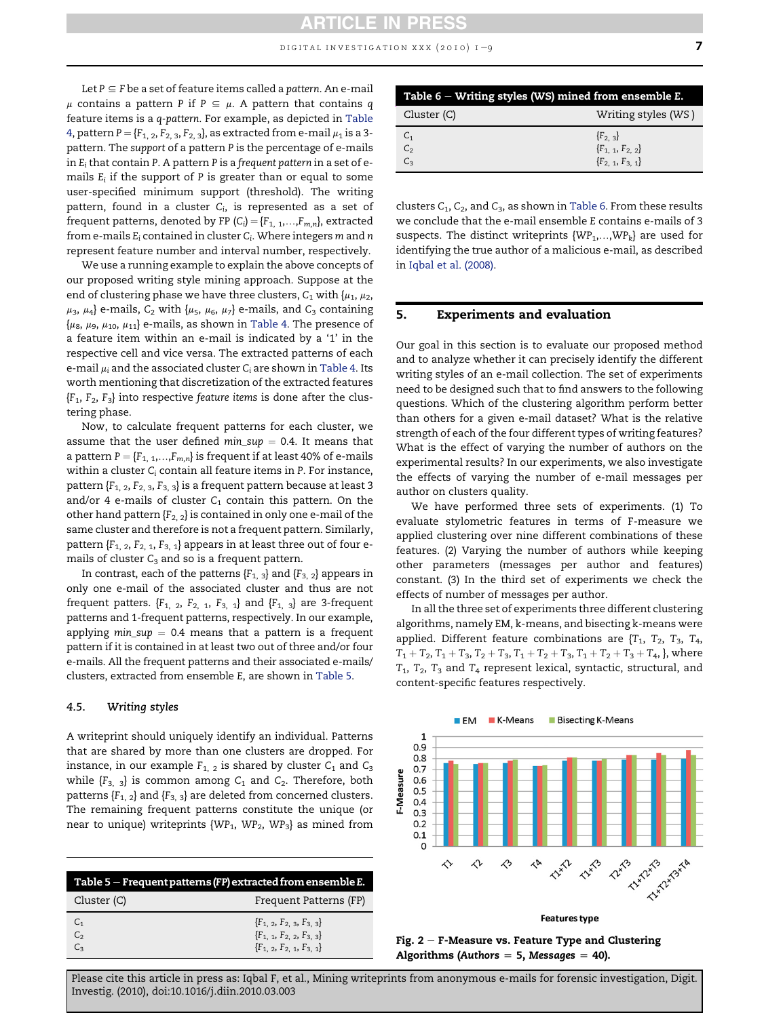#### DIGITAL INVESTIGATION XXX  $(2010)$   $1 - 9$   $7$

<span id="page-6-0"></span>Let  $P \subseteq F$  be a set of feature items called a pattern. An e-mail  $\mu$  contains a pattern P if P  $\subseteq \mu$ . A pattern that contains q feature items is a q-pattern. For example, as depicted in [Table](#page-5-0) [4](#page-5-0), pattern  $P = \{F_{1, 2}, F_{2, 3}, F_{2, 3}\}\$ , as extracted from e-mail  $\mu_1$  is a 3pattern. The support of a pattern P is the percentage of e-mails in  $E_i$  that contain P. A pattern P is a frequent pattern in a set of emails  $E_i$  if the support of P is greater than or equal to some user-specified minimum support (threshold). The writing pattern, found in a cluster  $C_i$ , is represented as a set of frequent patterns, denoted by FP  $(C_i) = \{F_{1, 1},...,F_{m,n}\}$ , extracted from e-mails  $E_i$  contained in cluster  $C_i$ . Where integers m and n represent feature number and interval number, respectively.

We use a running example to explain the above concepts of our proposed writing style mining approach. Suppose at the end of clustering phase we have three clusters,  $C_1$  with  $\{\mu_1, \mu_2,$  $\mu_3$ ,  $\mu_4$ } e-mails, C<sub>2</sub> with { $\mu_5$ ,  $\mu_6$ ,  $\mu_7$ } e-mails, and C<sub>3</sub> containing  $\{\mu_8, \mu_9, \mu_{10}, \mu_{11}\}$  e-mails, as shown in [Table 4.](#page-5-0) The presence of a feature item within an e-mail is indicated by a '1' in the respective cell and vice versa. The extracted patterns of each e-mail  $\mu_i$  and the associated cluster  $C_i$  are shown in [Table 4](#page-5-0). Its worth mentioning that discretization of the extracted features  ${F_1, F_2, F_3}$  into respective feature items is done after the clustering phase.

Now, to calculate frequent patterns for each cluster, we assume that the user defined min\_sup = 0.4. It means that a pattern  $P = \{F_{1, 1},...,F_{m,n}\}\$ is frequent if at least 40% of e-mails within a cluster  $C_i$  contain all feature items in P. For instance, pattern  ${F_{1,2}, F_{2,3}, F_{3,3}}$  is a frequent pattern because at least 3 and/or 4 e-mails of cluster  $C_1$  contain this pattern. On the other hand pattern  ${F_2, 2}$  is contained in only one e-mail of the same cluster and therefore is not a frequent pattern. Similarly, pattern  ${F_{1, 2}, F_{2, 1}, F_{3, 1}}$  appears in at least three out of four emails of cluster  $C_3$  and so is a frequent pattern.

In contrast, each of the patterns  ${F_{1,3}}$  and  ${F_{3,2}}$  appears in only one e-mail of the associated cluster and thus are not frequent patters.  ${F_{1,2}, F_{2,1}, F_{3,1}}$  and  ${F_{1,3}}$  are 3-frequent patterns and 1-frequent patterns, respectively. In our example, applying min\_sup  $= 0.4$  means that a pattern is a frequent pattern if it is contained in at least two out of three and/or four e-mails. All the frequent patterns and their associated e-mails/ clusters, extracted from ensemble E, are shown in Table 5.

#### 4.5. Writing styles

A writeprint should uniquely identify an individual. Patterns that are shared by more than one clusters are dropped. For instance, in our example  $F_{1,2}$  is shared by cluster  $C_1$  and  $C_3$ while  ${F_{3, 3}}$  is common among  $C_1$  and  $C_2$ . Therefore, both patterns  ${F_{1, 2}}$  and  ${F_{3, 3}}$  are deleted from concerned clusters. The remaining frequent patterns constitute the unique (or near to unique) writeprints  $\{WP_1, WP_2, WP_3\}$  as mined from

| Table $5$ – Frequent patterns (FP) extracted from ensemble $E$ . |                                                                                                 |  |  |
|------------------------------------------------------------------|-------------------------------------------------------------------------------------------------|--|--|
| Cluster (C)                                                      | Frequent Patterns (FP)                                                                          |  |  |
| C <sub>1</sub><br>C <sub>2</sub><br>$C_{3}$                      | ${F_{1,2}, F_{2,3}, F_{3,3}}$<br>${F_{1,1}, F_{2,2}, F_{3,3}}$<br>${F_{1,2}, F_{2,1}, F_{3,1}}$ |  |  |

| Table $6$ – Writing styles (WS) mined from ensemble E. |                                              |  |  |
|--------------------------------------------------------|----------------------------------------------|--|--|
| Cluster $(C)$                                          | Writing styles (WS)                          |  |  |
| C <sub>1</sub>                                         | ${F_{2,3}}$                                  |  |  |
| C <sub>2</sub><br>C <sub>3</sub>                       | ${F_{1,1}, F_{2,2}}$<br>${F_{2,1}, F_{3,1}}$ |  |  |

clusters  $C_1$ ,  $C_2$ , and  $C_3$ , as shown in Table 6. From these results we conclude that the e-mail ensemble E contains e-mails of 3 suspects. The distinct writeprints  $\{WP_1,...,WP_k\}$  are used for identifying the true author of a malicious e-mail, as described in [Iqbal et al. \(2008\).](#page-8-0)

### 5. Experiments and evaluation

Our goal in this section is to evaluate our proposed method and to analyze whether it can precisely identify the different writing styles of an e-mail collection. The set of experiments need to be designed such that to find answers to the following questions. Which of the clustering algorithm perform better than others for a given e-mail dataset? What is the relative strength of each of the four different types of writing features? What is the effect of varying the number of authors on the experimental results? In our experiments, we also investigate the effects of varying the number of e-mail messages per author on clusters quality.

We have performed three sets of experiments. (1) To evaluate stylometric features in terms of F-measure we applied clustering over nine different combinations of these features. (2) Varying the number of authors while keeping other parameters (messages per author and features) constant. (3) In the third set of experiments we check the effects of number of messages per author.

In all the three set of experiments three different clustering algorithms, namely EM, k-means, and bisecting k-means were applied. Different feature combinations are  $\{T_1, T_2, T_3, T_4,$  $T_1 + T_2$ ,  $T_1 + T_3$ ,  $T_2 + T_3$ ,  $T_1 + T_2 + T_3$ ,  $T_1 + T_2 + T_3 + T_4$ , }, where  $T_1$ ,  $T_2$ ,  $T_3$  and  $T_4$  represent lexical, syntactic, structural, and content-specific features respectively.



### Fig.  $2 - F$ -Measure vs. Feature Type and Clustering Algorithms (Authors  $= 5$ , Messages  $= 40$ ).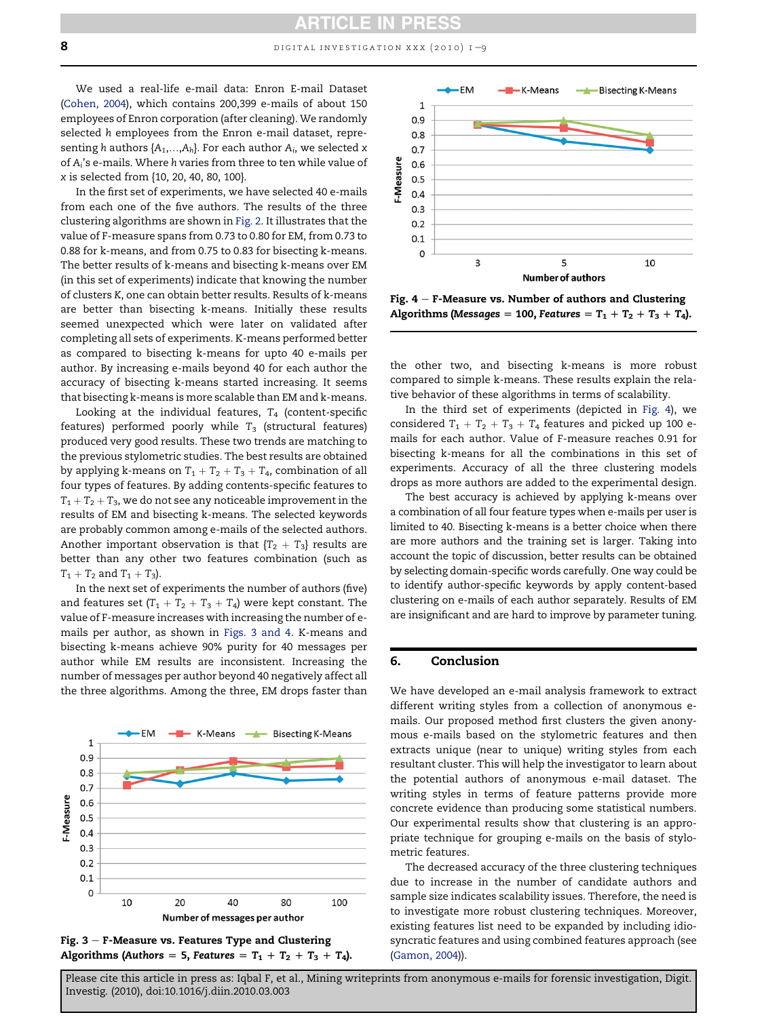<span id="page-7-0"></span>**8 digital investigation xxx** (2010) 1-9

We used a real-life e-mail data: Enron E-mail Dataset ([Cohen, 2004](#page-8-0)), which contains 200,399 e-mails of about 150 employees of Enron corporation (after cleaning). We randomly selected h employees from the Enron e-mail dataset, representing h authors  $\{A_1,...,A_h\}$ . For each author  $A_i$ , we selected x of Ai's e-mails. Where h varies from three to ten while value of x is selected from {10, 20, 40, 80, 100}.

In the first set of experiments, we have selected 40 e-mails from each one of the five authors. The results of the three clustering algorithms are shown in [Fig. 2](#page-6-0). It illustrates that the value of F-measure spans from 0.73 to 0.80 for EM, from 0.73 to 0.88 for k-means, and from 0.75 to 0.83 for bisecting k-means. The better results of k-means and bisecting k-means over EM (in this set of experiments) indicate that knowing the number of clusters K, one can obtain better results. Results of k-means are better than bisecting k-means. Initially these results seemed unexpected which were later on validated after completing all sets of experiments. K-means performed better as compared to bisecting k-means for upto 40 e-mails per author. By increasing e-mails beyond 40 for each author the accuracy of bisecting k-means started increasing. It seems that bisecting k-means is more scalable than EM and k-means.

Looking at the individual features,  $T_4$  (content-specific features) performed poorly while  $T_3$  (structural features) produced very good results. These two trends are matching to the previous stylometric studies. The best results are obtained by applying k-means on  $T_1 + T_2 + T_3 + T_4$ , combination of all four types of features. By adding contents-specific features to  $T_1 + T_2 + T_3$ , we do not see any noticeable improvement in the results of EM and bisecting k-means. The selected keywords are probably common among e-mails of the selected authors. Another important observation is that  $\{T_2 + T_3\}$  results are better than any other two features combination (such as  $T_1 + T_2$  and  $T_1 + T_3$ ).

In the next set of experiments the number of authors (five) and features set  $(T_1 + T_2 + T_3 + T_4)$  were kept constant. The value of F-measure increases with increasing the number of emails per author, as shown in Figs. 3 and 4. K-means and bisecting k-means achieve 90% purity for 40 messages per author while EM results are inconsistent. Increasing the number of messages per author beyond 40 negatively affect all the three algorithms. Among the three, EM drops faster than







Fig.  $4 - F$ -Measure vs. Number of authors and Clustering Algorithms (Messages = 100, Features =  $T_1 + T_2 + T_3 + T_4$ ).

the other two, and bisecting k-means is more robust compared to simple k-means. These results explain the relative behavior of these algorithms in terms of scalability.

In the third set of experiments (depicted in Fig. 4), we considered  $T_1 + T_2 + T_3 + T_4$  features and picked up 100 emails for each author. Value of F-measure reaches 0.91 for bisecting k-means for all the combinations in this set of experiments. Accuracy of all the three clustering models drops as more authors are added to the experimental design.

The best accuracy is achieved by applying k-means over a combination of all four feature types when e-mails per user is limited to 40. Bisecting k-means is a better choice when there are more authors and the training set is larger. Taking into account the topic of discussion, better results can be obtained by selecting domain-specific words carefully. One way could be to identify author-specific keywords by apply content-based clustering on e-mails of each author separately. Results of EM are insignificant and are hard to improve by parameter tuning.

# 6. Conclusion

We have developed an e-mail analysis framework to extract different writing styles from a collection of anonymous emails. Our proposed method first clusters the given anonymous e-mails based on the stylometric features and then extracts unique (near to unique) writing styles from each resultant cluster. This will help the investigator to learn about the potential authors of anonymous e-mail dataset. The writing styles in terms of feature patterns provide more concrete evidence than producing some statistical numbers. Our experimental results show that clustering is an appropriate technique for grouping e-mails on the basis of stylometric features.

The decreased accuracy of the three clustering techniques due to increase in the number of candidate authors and sample size indicates scalability issues. Therefore, the need is to investigate more robust clustering techniques. Moreover, existing features list need to be expanded by including idiosyncratic features and using combined features approach (see ([Gamon, 2004](#page-8-0))).